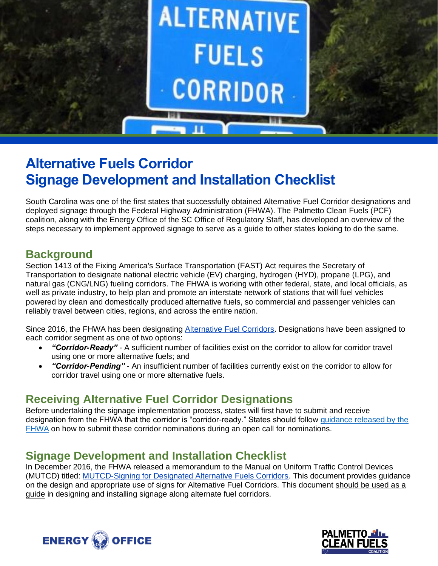

# **Alternative Fuels Corridor Signage Development and Installation Checklist**

South Carolina was one of the first states that successfully obtained Alternative Fuel Corridor designations and deployed signage through the Federal Highway Administration (FHWA). The Palmetto Clean Fuels (PCF) coalition, along with the Energy Office of the SC Office of Regulatory Staff, has developed an overview of the steps necessary to implement approved signage to serve as a guide to other states looking to do the same.

### **Background**

Section 1413 of the Fixing America's Surface Transportation (FAST) Act requires the Secretary of Transportation to designate national electric vehicle (EV) charging, hydrogen (HYD), propane (LPG), and natural gas (CNG/LNG) fueling corridors. The FHWA is working with other federal, state, and local officials, as well as private industry, to help plan and promote an interstate network of stations that will fuel vehicles powered by clean and domestically produced alternative fuels, so commercial and passenger vehicles can reliably travel between cities, regions, and across the entire nation.

Since 2016, the FHWA has been designating [Alternative Fuel Corridors.](https://www.fhwa.dot.gov/environment/alternative_fuel_corridors/) Designations have been assigned to each corridor segment as one of two options:

- *"Corridor-Ready"* A sufficient number of facilities exist on the corridor to allow for corridor travel using one or more alternative fuels; and
- *"Corridor-Pending"* An insufficient number of facilities currently exist on the corridor to allow for corridor travel using one or more alternative fuels.

## **Receiving Alternative Fuel Corridor Designations**

Before undertaking the signage implementation process, states will first have to submit and receive designation from the FHWA that the corridor is "corridor-ready." States should follow guidance released by the [FHWA](https://www.fhwa.dot.gov/environment/alternative_fuel_corridors/resources/) on how to submit these corridor nominations during an open call for nominations.

### **Signage Development and Installation Checklist**

In December 2016, the FHWA released a memorandum to the Manual on Uniform Traffic Control Devices (MUTCD) titled: [MUTCD-Signing for Designated Alternative Fuels Corridors.](https://www.fhwa.dot.gov/environment/alternative_fuel_corridors/resources/mutcd122116.cfm) This document provides guidance on the design and appropriate use of signs for Alternative Fuel Corridors. This document should be used as a guide in designing and installing signage along alternate fuel corridors.



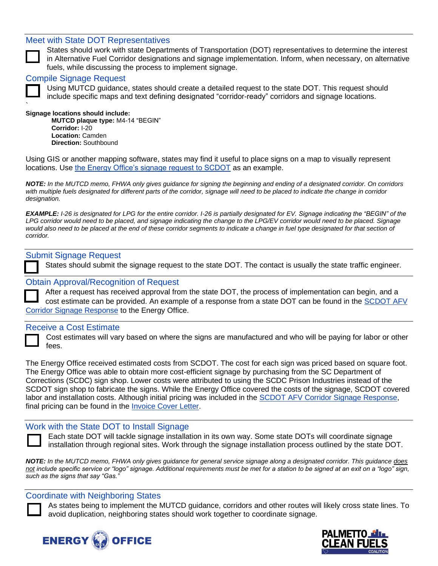### Meet with State DOT Representatives



States should work with state Departments of Transportation (DOT) representatives to determine the interest in Alternative Fuel Corridor designations and signage implementation. Inform, when necessary, on alternative fuels, while discussing the process to implement signage.

#### Compile Signage Request

Using MUTCD guidance, states should create a detailed request to the state DOT. This request should include specific maps and text defining designated "corridor-ready" corridors and signage locations.

#### ` **Signage locations should include:**

**MUTCD plaque type:** M4-14 "BEGIN" **Corridor:** I-20 **Location:** Camden **Direction:** Southbound

Using GIS or another mapping software, states may find it useful to place signs on a map to visually represent locations. Use [the Energy Office's signage request to SCDOT](http://www.palmettocleanfuels.org/files/Designated%20AFV%20Corridor%20Signage%20Request_FinalPCF.pdf) as an example.

*NOTE: In the MUTCD memo, FHWA only gives guidance for signing the beginning and ending of a designated corridor. On corridors*  with multiple fuels designated for different parts of the corridor, signage will need to be placed to indicate the change in corridor *designation.* 

*EXAMPLE: I-26 is designated for LPG for the entire corridor. I-26 is partially designated for EV. Signage indicating the "BEGIN" of the*  LPG corridor would need to be placed, and signage indicating the change to the *LPG/EV* corridor would need to be placed. Signage would also need to be placed at the end of these corridor segments to indicate a change in fuel type designated for that section of *corridor.*

#### Submit Signage Request

States should submit the signage request to the state DOT. The contact is usually the state traffic engineer.

#### Obtain Approval/Recognition of Request

| After a request has received approval from the state DOT, the process of implementation can begin, and a |
|----------------------------------------------------------------------------------------------------------|
| cost estimate can be provided. An example of a response from a state DOT can be found in the SCDOT AFV   |
| Corridor Signage Response to the Energy Office.                                                          |

#### Receive a Cost Estimate

Cost estimates will vary based on where the signs are manufactured and who will be paying for labor or other fees.

The Energy Office received estimated costs from SCDOT. The cost for each sign was priced based on square foot. The Energy Office was able to obtain more cost-efficient signage by purchasing from the SC Department of Corrections (SCDC) sign shop. Lower costs were attributed to using the SCDC Prison Industries instead of the SCDOT sign shop to fabricate the signs. While the Energy Office covered the costs of the signage, SCDOT covered labor and installation costs. Although initial pricing was included in the [SCDOT AFV Corridor Signage Response,](http://www.palmettocleanfuels.org/files/SCDOT%20Signage%20Response_20170317.pdf) final pricing can be found in the [Invoice Cover Letter.](http://www.palmettocleanfuels.org/files/Invoice%20Cover%20Letter%20Mason%20and%20Masters.pdf)

#### Work with the State DOT to Install Signage

Each state DOT will tackle signage installation in its own way. Some state DOTs will coordinate signage installation through regional sites. Work through the signage installation process outlined by the state DOT.

*NOTE: In the MUTCD memo, FHWA only gives guidance for general service signage along a designated corridor. This guidance does not include specific service or "logo" signage. Additional requirements must be met for a station to be signed at an exit on a "logo" sign, such as the signs that say "Gas."*

#### Coordinate with Neighboring States

As states being to implement the MUTCD guidance, corridors and other routes will likely cross state lines. To avoid duplication, neighboring states should work together to coordinate signage.